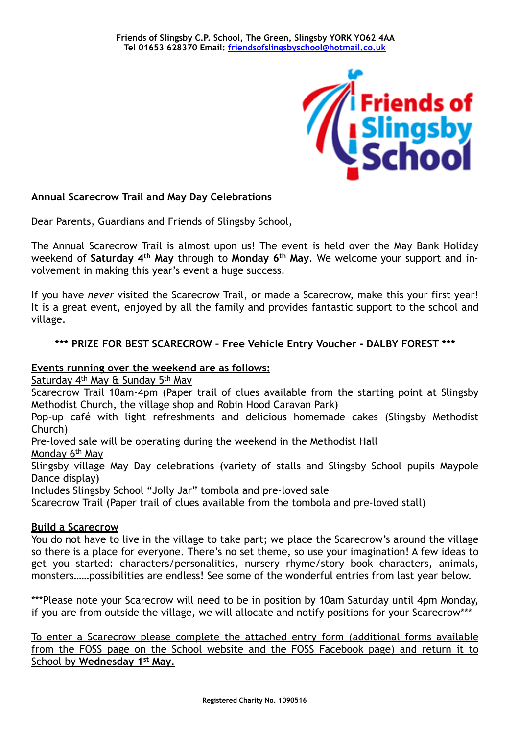

# **Annual Scarecrow Trail and May Day Celebrations**

Dear Parents, Guardians and Friends of Slingsby School,

The Annual Scarecrow Trail is almost upon us! The event is held over the May Bank Holiday weekend of **Saturday 4th May** through to **Monday 6th May**. We welcome your support and involvement in making this year's event a huge success.

If you have *never* visited the Scarecrow Trail, or made a Scarecrow, make this your first year! It is a great event, enjoyed by all the family and provides fantastic support to the school and village.

# **\*\*\* PRIZE FOR BEST SCARECROW – Free Vehicle Entry Voucher - DALBY FOREST \*\*\***

## **Events running over the weekend are as follows:**

Saturday 4<sup>th</sup> May & Sunday 5<sup>th</sup> May

Scarecrow Trail 10am-4pm (Paper trail of clues available from the starting point at Slingsby Methodist Church, the village shop and Robin Hood Caravan Park)

Pop-up café with light refreshments and delicious homemade cakes (Slingsby Methodist Church)

Pre-loved sale will be operating during the weekend in the Methodist Hall

Monday 6th May

Slingsby village May Day celebrations (variety of stalls and Slingsby School pupils Maypole Dance display)

Includes Slingsby School "Jolly Jar" tombola and pre-loved sale

Scarecrow Trail (Paper trail of clues available from the tombola and pre-loved stall)

### **Build a Scarecrow**

You do not have to live in the village to take part; we place the Scarecrow's around the village so there is a place for everyone. There's no set theme, so use your imagination! A few ideas to get you started: characters/personalities, nursery rhyme/story book characters, animals, monsters……possibilities are endless! See some of the wonderful entries from last year below.

\*\*\*Please note your Scarecrow will need to be in position by 10am Saturday until 4pm Monday, if you are from outside the village, we will allocate and notify positions for your Scarecrow\*\*\*

To enter a Scarecrow please complete the attached entry form (additional forms available from the FOSS page on the School website and the FOSS Facebook page) and return it to School by **Wednesday 1st May**.